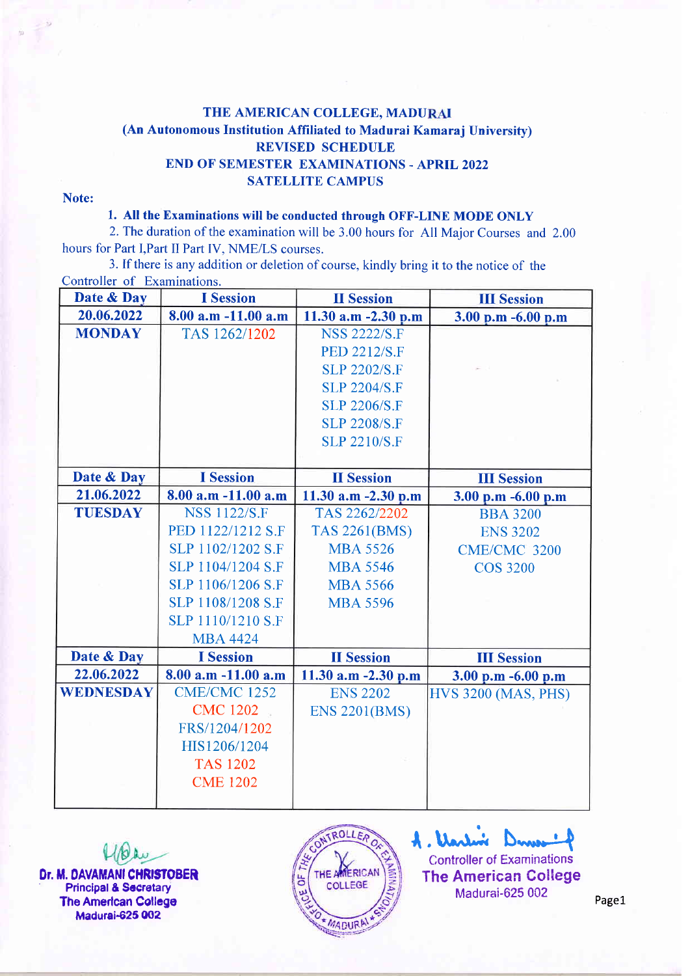## THE AMERICAN COLLEGE, MADURAI (An Autonomous Institution Affiliated to Madurai Kamaraj University) REVISED SCHEDULE BND OF SEMESTER EXAMINATIONS - APRIL 2022 SATELLITE CAMPUS

## Note:

## 1. All the Examinations will be conducted through OFF-LINE MODE ONLY

2.The duration of the examination will be 3.00 hours for All Major Courses and 2.00 hours for Part l,Part II Part IV, NME/LS courses.

3. If there is any addition or deletion of course, kindly bring it to the notice of the Controller of Examinations.

| Date & Day       | <b>I</b> Session        | <b>II</b> Session    | <b>III Session</b>         |
|------------------|-------------------------|----------------------|----------------------------|
| 20.06.2022       | 8.00 a.m -11.00 a.m     | 11.30 a.m -2.30 p.m  | 3.00 p.m -6.00 p.m         |
| <b>MONDAY</b>    | TAS 1262/1202           | <b>NSS 2222/S.F</b>  |                            |
|                  |                         | <b>PED 2212/S.F</b>  |                            |
|                  |                         | <b>SLP 2202/S.F</b>  |                            |
|                  |                         | <b>SLP 2204/S.F</b>  |                            |
|                  |                         | <b>SLP 2206/S.F</b>  |                            |
|                  |                         | <b>SLP 2208/S.F</b>  |                            |
|                  |                         | <b>SLP 2210/S.F</b>  |                            |
|                  |                         |                      |                            |
| Date & Day       | <b>I</b> Session        | <b>II</b> Session    | <b>III</b> Session         |
| 21.06.2022       | $8.00$ a.m $-11.00$ a.m | 11.30 a.m -2.30 p.m  | 3.00 p.m -6.00 p.m         |
| <b>TUESDAY</b>   | <b>NSS 1122/S.F</b>     | TAS 2262/2202        | <b>BBA 3200</b>            |
|                  | PED 1122/1212 S.F       | <b>TAS 2261(BMS)</b> | <b>ENS 3202</b>            |
|                  | SLP 1102/1202 S.F       | <b>MBA 5526</b>      | <b>CME/CMC 3200</b>        |
|                  | SLP 1104/1204 S.F       | <b>MBA 5546</b>      | <b>COS 3200</b>            |
|                  | SLP 1106/1206 S.F       | <b>MBA 5566</b>      |                            |
|                  | SLP 1108/1208 S.F       | <b>MBA 5596</b>      |                            |
|                  | SLP 1110/1210 S.F       |                      |                            |
|                  | <b>MBA 4424</b>         |                      |                            |
| Date & Day       | <b>I</b> Session        | <b>II</b> Session    | <b>III</b> Session         |
| 22.06.2022       | 8.00 a.m -11.00 a.m     | 11.30 a.m -2.30 p.m  | 3.00 p.m -6.00 p.m         |
| <b>WEDNESDAY</b> | <b>CME/CMC 1252</b>     | <b>ENS 2202</b>      | <b>HVS 3200 (MAS, PHS)</b> |
|                  | <b>CMC 1202</b>         | <b>ENS 2201(BMS)</b> |                            |
|                  | FRS/1204/1202           |                      |                            |
|                  | HIS1206/1204            |                      |                            |
|                  | <b>TAS 1202</b>         |                      |                            |
|                  | <b>CME 1202</b>         |                      |                            |
|                  |                         |                      |                            |

Dr. M. DAVAMANI CHRISTOBER **Principal & Secretary The American College** Madurai€25 002



A. Varlin Controller of Examinations The American College Madurai-625 002

Pagel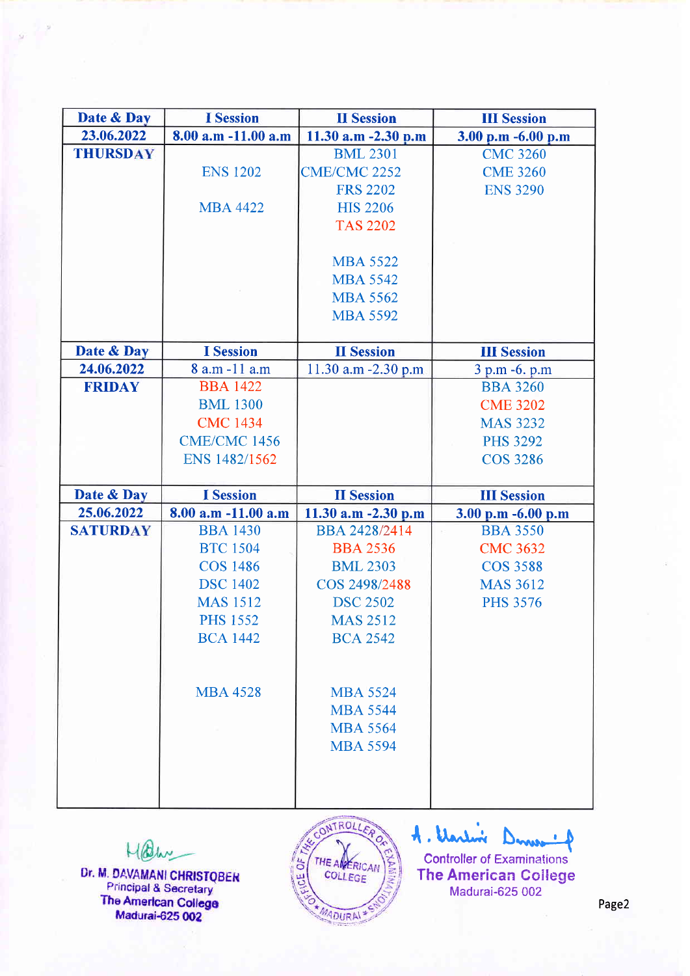| Date & Day      | <b>I</b> Session        | <b>II</b> Session   | <b>III Session</b> |
|-----------------|-------------------------|---------------------|--------------------|
| 23.06.2022      | $8.00$ a.m $-11.00$ a.m | 11.30 a.m -2.30 p.m | 3.00 p.m -6.00 p.m |
| <b>THURSDAY</b> |                         | <b>BML 2301</b>     | <b>CMC 3260</b>    |
|                 | <b>ENS 1202</b>         | <b>CME/CMC 2252</b> | <b>CME 3260</b>    |
|                 |                         | <b>FRS 2202</b>     | <b>ENS 3290</b>    |
|                 | <b>MBA 4422</b>         | <b>HIS 2206</b>     |                    |
|                 |                         | <b>TAS 2202</b>     |                    |
|                 |                         |                     |                    |
|                 |                         | <b>MBA 5522</b>     |                    |
|                 |                         | <b>MBA 5542</b>     |                    |
|                 |                         | <b>MBA 5562</b>     |                    |
|                 |                         | <b>MBA 5592</b>     |                    |
|                 |                         |                     |                    |
| Date & Day      | <b>I</b> Session        | <b>II</b> Session   | <b>III Session</b> |
| 24.06.2022      | 8 a.m -11 a.m           | 11.30 a.m -2.30 p.m | 3 p.m -6. p.m      |
| <b>FRIDAY</b>   | <b>BBA 1422</b>         |                     | <b>BBA 3260</b>    |
|                 | <b>BML 1300</b>         |                     | <b>CME 3202</b>    |
|                 | <b>CMC 1434</b>         |                     | <b>MAS 3232</b>    |
|                 | <b>CME/CMC 1456</b>     |                     | <b>PHS 3292</b>    |
|                 |                         |                     | <b>COS 3286</b>    |
|                 | ENS 1482/1562           |                     |                    |
|                 |                         |                     |                    |
| Date & Day      | <b>I</b> Session        | <b>II</b> Session   | <b>III Session</b> |
| 25.06.2022      | 8.00 a.m -11.00 a.m     | 11.30 a.m -2.30 p.m | 3.00 p.m -6.00 p.m |
| <b>SATURDAY</b> | <b>BBA 1430</b>         | BBA 2428/2414       | <b>BBA 3550</b>    |
|                 | <b>BTC</b> 1504         | <b>BBA 2536</b>     | <b>CMC 3632</b>    |
|                 | <b>COS 1486</b>         | <b>BML 2303</b>     | <b>COS 3588</b>    |
|                 | <b>DSC</b> 1402         | COS 2498/2488       | <b>MAS 3612</b>    |
|                 | <b>MAS 1512</b>         | <b>DSC 2502</b>     | <b>PHS 3576</b>    |
|                 | <b>PHS 1552</b>         | <b>MAS 2512</b>     |                    |
|                 | <b>BCA 1442</b>         | <b>BCA 2542</b>     |                    |
|                 |                         |                     |                    |
|                 |                         |                     |                    |
|                 | <b>MBA 4528</b>         | <b>MBA 5524</b>     |                    |
|                 |                         | <b>MBA 5544</b>     |                    |
|                 |                         | <b>MBA 5564</b>     |                    |
|                 |                         | <b>MBA 5594</b>     |                    |
|                 |                         |                     |                    |
|                 |                         |                     |                    |

Malin

Dr. M. DAVAMANI CHRISTOBER<br>Principal & Secretary<br>The American College<br>Madurai-625 002



A. Varlin Denver . A Controller of Examinations<sup>1</sup> The American College Madurai-625 002

Page2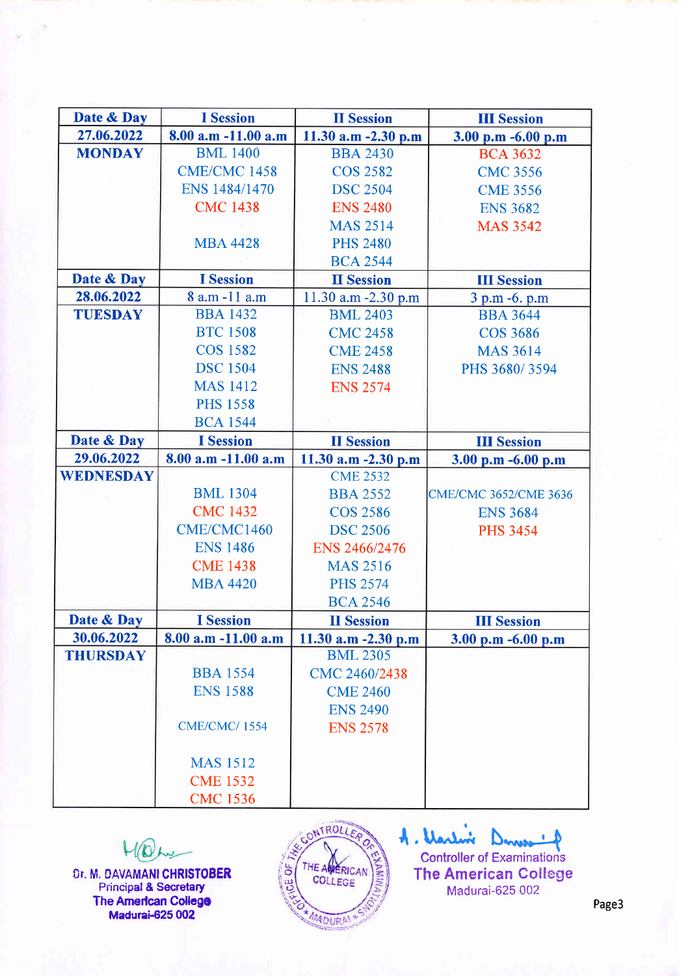| Date & Day      | <b>I</b> Session        | <b>II</b> Session      | <b>III</b> Session           |
|-----------------|-------------------------|------------------------|------------------------------|
| 27.06.2022      | $8.00$ a.m $-11.00$ a.m | 11.30 a.m -2.30 p.m    | 3.00 p.m -6.00 p.m           |
| <b>MONDAY</b>   | <b>BML</b> 1400         | <b>BBA 2430</b>        | <b>BCA 3632</b>              |
|                 | <b>CME/CMC 1458</b>     | <b>COS 2582</b>        | <b>CMC 3556</b>              |
|                 | ENS 1484/1470           | <b>DSC 2504</b>        | <b>CME 3556</b>              |
|                 | <b>CMC 1438</b>         | <b>ENS 2480</b>        | <b>ENS 3682</b>              |
|                 |                         | <b>MAS 2514</b>        | <b>MAS 3542</b>              |
|                 | <b>MBA 4428</b>         | <b>PHS 2480</b>        |                              |
|                 |                         | <b>BCA 2544</b>        |                              |
| Date & Day      | <b>I</b> Session        | <b>II</b> Session      | <b>III Session</b>           |
| 28.06.2022      | 8 a.m -11 a.m           | 11.30 a.m -2.30 p.m    | 3 p.m -6. p.m                |
| <b>TUESDAY</b>  | <b>BBA 1432</b>         | <b>BML 2403</b>        | <b>BBA 3644</b>              |
|                 | <b>BTC 1508</b>         | <b>CMC 2458</b>        | <b>COS 3686</b>              |
|                 | <b>COS 1582</b>         | <b>CME 2458</b>        | <b>MAS 3614</b>              |
|                 | <b>DSC</b> 1504         | <b>ENS 2488</b>        | PHS 3680/3594                |
|                 | <b>MAS 1412</b>         | <b>ENS 2574</b>        |                              |
|                 | <b>PHS 1558</b>         |                        |                              |
|                 | <b>BCA 1544</b>         |                        |                              |
| Date & Day      | <b>I</b> Session        | <b>II</b> Session      | <b>III</b> Session           |
| 29.06.2022      | 8.00 a.m -11.00 a.m     | 11.30 a.m -2.30 p.m    | 3.00 p.m -6.00 p.m           |
| WEDNESDAY       |                         | <b>CME 2532</b>        |                              |
|                 | <b>BML 1304</b>         | <b>BBA 2552</b>        | <b>CME/CMC 3652/CME 3636</b> |
|                 | <b>CMC 1432</b>         | <b>COS 2586</b>        | <b>ENS 3684</b>              |
|                 | CME/CMC1460             | <b>DSC 2506</b>        | <b>PHS 3454</b>              |
|                 | <b>ENS 1486</b>         | ENS 2466/2476          |                              |
|                 | <b>CME 1438</b>         | <b>MAS 2516</b>        |                              |
|                 | <b>MBA 4420</b>         | <b>PHS 2574</b>        |                              |
|                 |                         | <b>BCA 2546</b>        |                              |
| Date & Day      | <b>I</b> Session        | <b>II</b> Session      | <b>III Session</b>           |
| 30.06.2022      | 8.00 a.m -11.00 a.m     | 11.30 $a.m - 2.30 p.m$ | 3.00 p.m $-6.00$ p.m         |
| <b>THURSDAY</b> |                         | <b>BML 2305</b>        |                              |
|                 | <b>BBA 1554</b>         | CMC 2460/2438          |                              |
|                 | <b>ENS 1588</b>         | <b>CME 2460</b>        |                              |
|                 |                         | <b>ENS 2490</b>        |                              |
|                 | <b>CME/CMC/1554</b>     | <b>ENS 2578</b>        |                              |
|                 |                         |                        |                              |
|                 | <b>MAS</b> 1512         |                        |                              |
|                 | <b>CME 1532</b>         |                        |                              |
|                 | <b>CMC 1536</b>         |                        |                              |

MON Dr, M, DAVAMANI CHRISTOBER Principal & Secretary The American College Madurai-625 00<mark>2</mark>



A. Varlin Controller of Examinations The American College Madurai-625 002

Page3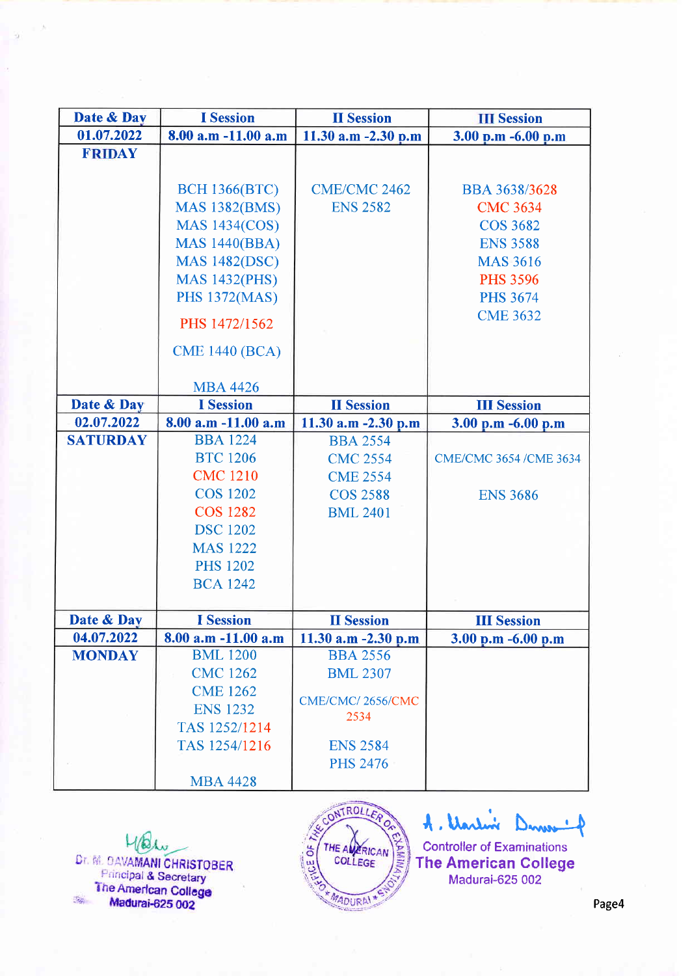| Date & Day      | <b>I</b> Session        | <b>II</b> Session        | <b>III</b> Session     |
|-----------------|-------------------------|--------------------------|------------------------|
| 01.07.2022      | $8.00$ a.m $-11.00$ a.m | 11.30 $a.m - 2.30 p.m$   | 3.00 p.m -6.00 p.m     |
| <b>FRIDAY</b>   |                         |                          |                        |
|                 |                         |                          |                        |
|                 | <b>BCH 1366(BTC)</b>    | <b>CME/CMC 2462</b>      | <b>BBA 3638/3628</b>   |
|                 | <b>MAS 1382(BMS)</b>    | <b>ENS 2582</b>          | <b>CMC 3634</b>        |
|                 | <b>MAS 1434(COS)</b>    |                          | <b>COS 3682</b>        |
|                 | <b>MAS 1440(BBA)</b>    |                          | <b>ENS 3588</b>        |
|                 | <b>MAS 1482(DSC)</b>    |                          | <b>MAS 3616</b>        |
|                 | <b>MAS 1432(PHS)</b>    |                          | <b>PHS 3596</b>        |
|                 | <b>PHS 1372(MAS)</b>    |                          | <b>PHS 3674</b>        |
|                 |                         |                          | <b>CME 3632</b>        |
|                 | PHS 1472/1562           |                          |                        |
|                 | <b>CME 1440 (BCA)</b>   |                          |                        |
|                 |                         |                          |                        |
|                 | <b>MBA 4426</b>         |                          |                        |
| Date & Day      | <b>I</b> Session        | <b>II</b> Session        | <b>III Session</b>     |
| 02.07.2022      | $8.00$ a.m $-11.00$ a.m | 11.30 $a.m - 2.30 p.m$   | 3.00 p.m $-6.00$ p.m   |
| <b>SATURDAY</b> | <b>BBA</b> 1224         | <b>BBA 2554</b>          |                        |
|                 | <b>BTC 1206</b>         | <b>CMC 2554</b>          | CME/CMC 3654 /CME 3634 |
|                 | <b>CMC 1210</b>         | <b>CME 2554</b>          |                        |
|                 | <b>COS 1202</b>         | <b>COS 2588</b>          | <b>ENS 3686</b>        |
|                 | <b>COS 1282</b>         | <b>BML 2401</b>          |                        |
|                 | <b>DSC</b> 1202         |                          |                        |
|                 | <b>MAS 1222</b>         |                          |                        |
|                 | <b>PHS 1202</b>         |                          |                        |
|                 | <b>BCA 1242</b>         |                          |                        |
|                 |                         |                          |                        |
| Date & Day      | <b>I</b> Session        | <b>II</b> Session        | <b>III</b> Session     |
| 04.07.2022      | $8.00$ a.m $-11.00$ a.m | 11.30 a.m $-2.30$ p.m    | $3.00$ p.m $-6.00$ p.m |
| <b>MONDAY</b>   | <b>BML</b> 1200         | <b>BBA 2556</b>          |                        |
|                 | <b>CMC 1262</b>         | <b>BML 2307</b>          |                        |
|                 | <b>CME 1262</b>         |                          |                        |
|                 | <b>ENS 1232</b>         | CME/CMC/2656/CMC<br>2534 |                        |
|                 | TAS 1252/1214           |                          |                        |
|                 | TAS 1254/1216           | <b>ENS 2584</b>          |                        |
|                 |                         | <b>PHS 2476</b>          |                        |
|                 | <b>MBA 4428</b>         |                          |                        |

Malu Dr. M. DAVAMANI CHRISTOBER **Principal & Secretary** The American College  $\frac{1}{\sqrt{2}}$ Madurai-625 002



A. Warlin Denver of

Controller of Examinations The American College Madurai-625 002

Page4